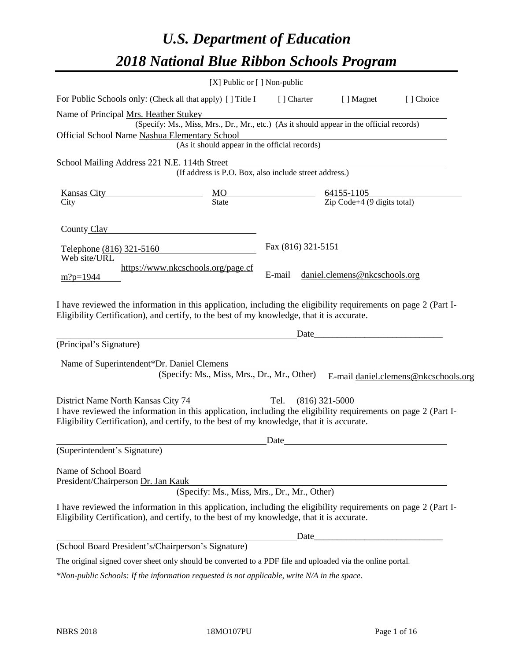# *U.S. Department of Education 2018 National Blue Ribbon Schools Program*

|                                                                                                                                                                                                              | [X] Public or [] Non-public                                                              |                       |                                                         |                                      |
|--------------------------------------------------------------------------------------------------------------------------------------------------------------------------------------------------------------|------------------------------------------------------------------------------------------|-----------------------|---------------------------------------------------------|--------------------------------------|
| For Public Schools only: (Check all that apply) [] Title I                                                                                                                                                   |                                                                                          | [ ] Charter           | [ ] Magnet                                              | [ ] Choice                           |
| Name of Principal Mrs. Heather Stukey                                                                                                                                                                        |                                                                                          |                       |                                                         |                                      |
| Official School Name Nashua Elementary School                                                                                                                                                                | (Specify: Ms., Miss, Mrs., Dr., Mr., etc.) (As it should appear in the official records) |                       |                                                         |                                      |
|                                                                                                                                                                                                              | (As it should appear in the official records)                                            |                       |                                                         |                                      |
| School Mailing Address 221 N.E. 114th Street                                                                                                                                                                 |                                                                                          |                       |                                                         |                                      |
|                                                                                                                                                                                                              | (If address is P.O. Box, also include street address.)                                   |                       |                                                         |                                      |
| <b>Kansas City</b>                                                                                                                                                                                           | $\frac{MO}{State}$                                                                       |                       | $\frac{64155-1105}{\text{Zip Code}+4 (9 digits total)}$ |                                      |
| City                                                                                                                                                                                                         |                                                                                          |                       |                                                         |                                      |
| County Clay                                                                                                                                                                                                  |                                                                                          |                       |                                                         |                                      |
| Telephone (816) 321-5160<br>Web site/URL                                                                                                                                                                     |                                                                                          | Fax (816) 321-5151    |                                                         |                                      |
|                                                                                                                                                                                                              | https://www.nkcschools.org/page.cf                                                       | E-mail                | daniel.clemens@nkcschools.org                           |                                      |
| $m$ ?p=1944                                                                                                                                                                                                  |                                                                                          |                       |                                                         |                                      |
| I have reviewed the information in this application, including the eligibility requirements on page 2 (Part I-<br>Eligibility Certification), and certify, to the best of my knowledge, that it is accurate. |                                                                                          |                       |                                                         |                                      |
|                                                                                                                                                                                                              |                                                                                          | Date                  |                                                         |                                      |
| (Principal's Signature)                                                                                                                                                                                      |                                                                                          |                       |                                                         |                                      |
| Name of Superintendent*Dr. Daniel Clemens                                                                                                                                                                    |                                                                                          |                       |                                                         |                                      |
|                                                                                                                                                                                                              | (Specify: Ms., Miss, Mrs., Dr., Mr., Other)                                              |                       |                                                         | E-mail daniel.clemens@nkcschools.org |
| District Name North Kansas City 74                                                                                                                                                                           |                                                                                          | Tel. $(816)$ 321-5000 |                                                         |                                      |
| I have reviewed the information in this application, including the eligibility requirements on page 2 (Part I-<br>Eligibility Certification), and certify, to the best of my knowledge, that it is accurate. |                                                                                          |                       |                                                         |                                      |
|                                                                                                                                                                                                              |                                                                                          | Date                  |                                                         |                                      |
| (Superintendent's Signature)                                                                                                                                                                                 |                                                                                          |                       |                                                         |                                      |
| Name of School Board<br>President/Chairperson Dr. Jan Kauk                                                                                                                                                   |                                                                                          |                       |                                                         |                                      |
|                                                                                                                                                                                                              | (Specify: Ms., Miss, Mrs., Dr., Mr., Other)                                              |                       |                                                         |                                      |
| I have reviewed the information in this application, including the eligibility requirements on page 2 (Part I-<br>Eligibility Certification), and certify, to the best of my knowledge, that it is accurate. |                                                                                          |                       |                                                         |                                      |
|                                                                                                                                                                                                              |                                                                                          |                       |                                                         |                                      |
| (School Board President's/Chairperson's Signature)                                                                                                                                                           |                                                                                          |                       |                                                         |                                      |
| The original signed cover sheet only should be converted to a PDF file and uploaded via the online portal.                                                                                                   |                                                                                          |                       |                                                         |                                      |

*\*Non-public Schools: If the information requested is not applicable, write N/A in the space.*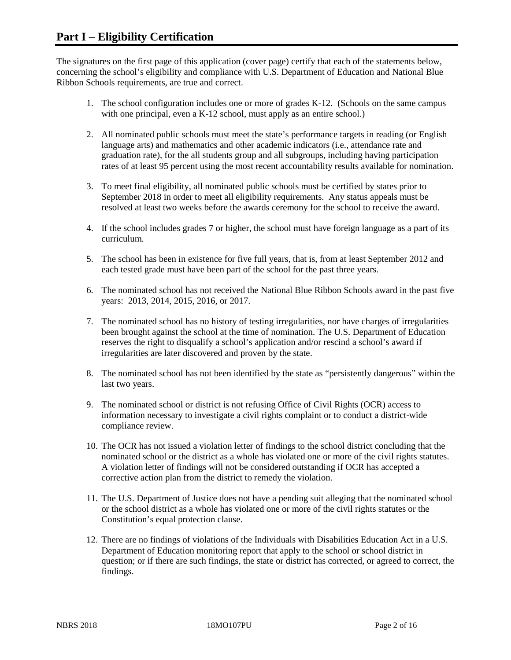The signatures on the first page of this application (cover page) certify that each of the statements below, concerning the school's eligibility and compliance with U.S. Department of Education and National Blue Ribbon Schools requirements, are true and correct.

- 1. The school configuration includes one or more of grades K-12. (Schools on the same campus with one principal, even a K-12 school, must apply as an entire school.)
- 2. All nominated public schools must meet the state's performance targets in reading (or English language arts) and mathematics and other academic indicators (i.e., attendance rate and graduation rate), for the all students group and all subgroups, including having participation rates of at least 95 percent using the most recent accountability results available for nomination.
- 3. To meet final eligibility, all nominated public schools must be certified by states prior to September 2018 in order to meet all eligibility requirements. Any status appeals must be resolved at least two weeks before the awards ceremony for the school to receive the award.
- 4. If the school includes grades 7 or higher, the school must have foreign language as a part of its curriculum.
- 5. The school has been in existence for five full years, that is, from at least September 2012 and each tested grade must have been part of the school for the past three years.
- 6. The nominated school has not received the National Blue Ribbon Schools award in the past five years: 2013, 2014, 2015, 2016, or 2017.
- 7. The nominated school has no history of testing irregularities, nor have charges of irregularities been brought against the school at the time of nomination. The U.S. Department of Education reserves the right to disqualify a school's application and/or rescind a school's award if irregularities are later discovered and proven by the state.
- 8. The nominated school has not been identified by the state as "persistently dangerous" within the last two years.
- 9. The nominated school or district is not refusing Office of Civil Rights (OCR) access to information necessary to investigate a civil rights complaint or to conduct a district-wide compliance review.
- 10. The OCR has not issued a violation letter of findings to the school district concluding that the nominated school or the district as a whole has violated one or more of the civil rights statutes. A violation letter of findings will not be considered outstanding if OCR has accepted a corrective action plan from the district to remedy the violation.
- 11. The U.S. Department of Justice does not have a pending suit alleging that the nominated school or the school district as a whole has violated one or more of the civil rights statutes or the Constitution's equal protection clause.
- 12. There are no findings of violations of the Individuals with Disabilities Education Act in a U.S. Department of Education monitoring report that apply to the school or school district in question; or if there are such findings, the state or district has corrected, or agreed to correct, the findings.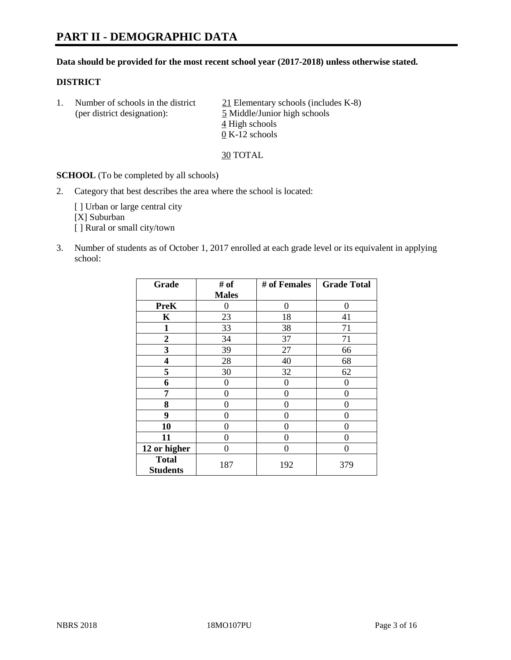#### **Data should be provided for the most recent school year (2017-2018) unless otherwise stated.**

#### **DISTRICT**

1. Number of schools in the district  $\frac{21}{21}$  Elementary schools (includes K-8) (per district designation): 5 Middle/Junior high schools 4 High schools 0 K-12 schools

30 TOTAL

**SCHOOL** (To be completed by all schools)

2. Category that best describes the area where the school is located:

[] Urban or large central city [X] Suburban [] Rural or small city/town

3. Number of students as of October 1, 2017 enrolled at each grade level or its equivalent in applying school:

| Grade                           | # of         | # of Females | <b>Grade Total</b> |
|---------------------------------|--------------|--------------|--------------------|
|                                 | <b>Males</b> |              |                    |
| <b>PreK</b>                     | 0            | 0            | 0                  |
| K                               | 23           | 18           | 41                 |
| $\mathbf{1}$                    | 33           | 38           | 71                 |
| 2                               | 34           | 37           | 71                 |
| 3                               | 39           | 27           | 66                 |
| 4                               | 28           | 40           | 68                 |
| 5                               | 30           | 32           | 62                 |
| 6                               | 0            | 0            | 0                  |
| 7                               | 0            | 0            | 0                  |
| 8                               | 0            | 0            | 0                  |
| 9                               | 0            | 0            | 0                  |
| 10                              | 0            | 0            | 0                  |
| 11                              | 0            | 0            | 0                  |
| 12 or higher                    | 0            | 0            | 0                  |
| <b>Total</b><br><b>Students</b> | 187          | 192          | 379                |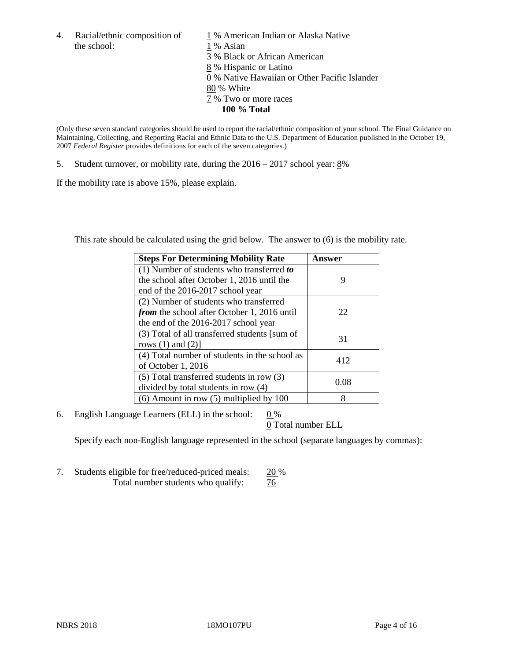4. Racial/ethnic composition of  $1\%$  American Indian or Alaska Native the school: 1 % Asian

 % Black or African American % Hispanic or Latino % Native Hawaiian or Other Pacific Islander 80 % White % Two or more races **100 % Total**

(Only these seven standard categories should be used to report the racial/ethnic composition of your school. The Final Guidance on Maintaining, Collecting, and Reporting Racial and Ethnic Data to the U.S. Department of Education published in the October 19, 2007 *Federal Register* provides definitions for each of the seven categories.)

5. Student turnover, or mobility rate, during the 2016 – 2017 school year: 8%

If the mobility rate is above 15%, please explain.

This rate should be calculated using the grid below. The answer to (6) is the mobility rate.

| <b>Steps For Determining Mobility Rate</b>         | Answer |
|----------------------------------------------------|--------|
| $(1)$ Number of students who transferred to        |        |
| the school after October 1, 2016 until the         | 9      |
| end of the 2016-2017 school year                   |        |
| (2) Number of students who transferred             |        |
| <i>from</i> the school after October 1, 2016 until | 22     |
| the end of the 2016-2017 school year               |        |
| (3) Total of all transferred students [sum of      |        |
| rows $(1)$ and $(2)$ ]                             | 31     |
| (4) Total number of students in the school as      |        |
| of October 1, 2016                                 | 412    |
| (5) Total transferred students in row (3)          |        |
| divided by total students in row (4)               | 0.08   |
| $(6)$ Amount in row $(5)$ multiplied by 100        | 8      |

6. English Language Learners (ELL) in the school:  $0\%$ 

0 Total number ELL

Specify each non-English language represented in the school (separate languages by commas):

7. Students eligible for free/reduced-priced meals: 20 % Total number students who qualify:  $\frac{76}{6}$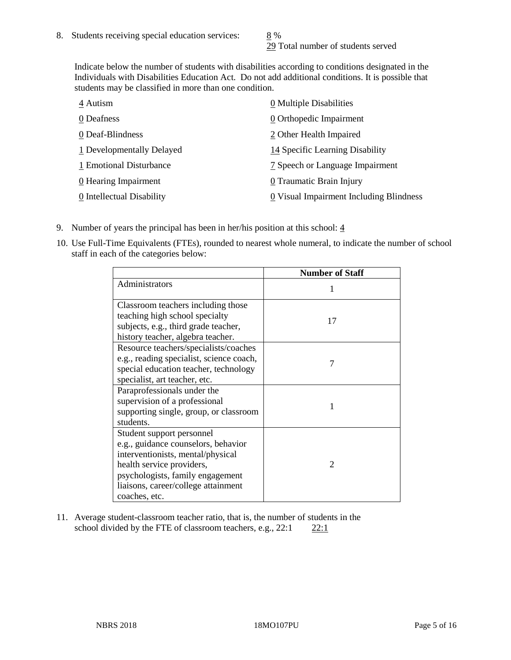29 Total number of students served

Indicate below the number of students with disabilities according to conditions designated in the Individuals with Disabilities Education Act. Do not add additional conditions. It is possible that students may be classified in more than one condition.

| 4 Autism                  | $\underline{0}$ Multiple Disabilities   |
|---------------------------|-----------------------------------------|
| 0 Deafness                | 0 Orthopedic Impairment                 |
| 0 Deaf-Blindness          | 2 Other Health Impaired                 |
| 1 Developmentally Delayed | 14 Specific Learning Disability         |
| 1 Emotional Disturbance   | 7 Speech or Language Impairment         |
| 0 Hearing Impairment      | 0 Traumatic Brain Injury                |
| 0 Intellectual Disability | 0 Visual Impairment Including Blindness |

- 9. Number of years the principal has been in her/his position at this school:  $\frac{4}{3}$
- 10. Use Full-Time Equivalents (FTEs), rounded to nearest whole numeral, to indicate the number of school staff in each of the categories below:

|                                                                                                                                                                                                                                | <b>Number of Staff</b> |
|--------------------------------------------------------------------------------------------------------------------------------------------------------------------------------------------------------------------------------|------------------------|
| Administrators                                                                                                                                                                                                                 |                        |
| Classroom teachers including those<br>teaching high school specialty<br>subjects, e.g., third grade teacher,<br>history teacher, algebra teacher.                                                                              | 17                     |
| Resource teachers/specialists/coaches<br>e.g., reading specialist, science coach,<br>special education teacher, technology<br>specialist, art teacher, etc.                                                                    |                        |
| Paraprofessionals under the<br>supervision of a professional<br>supporting single, group, or classroom<br>students.                                                                                                            | 1                      |
| Student support personnel<br>e.g., guidance counselors, behavior<br>interventionists, mental/physical<br>health service providers,<br>psychologists, family engagement<br>liaisons, career/college attainment<br>coaches, etc. | $\mathfrak{D}$         |

11. Average student-classroom teacher ratio, that is, the number of students in the school divided by the FTE of classroom teachers, e.g.,  $22:1$  22:1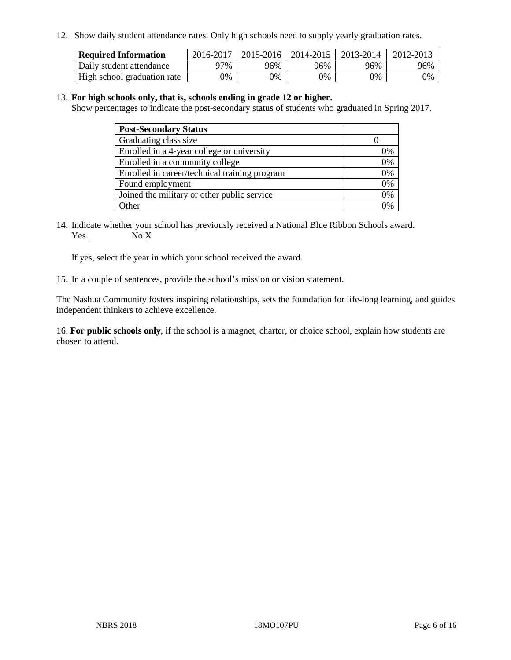12. Show daily student attendance rates. Only high schools need to supply yearly graduation rates.

| <b>Required Information</b> | 2016-2017 | $2015 - 2016$ | 2014-2015 | 2013-2014 | 2012-2013 |
|-----------------------------|-----------|---------------|-----------|-----------|-----------|
| Daily student attendance    | 97%       | 96%           | 96%       | 96%       | 96%       |
| High school graduation rate | 0%        | 0%            | 0%        | 9%        | 0%        |

#### 13. **For high schools only, that is, schools ending in grade 12 or higher.**

Show percentages to indicate the post-secondary status of students who graduated in Spring 2017.

| <b>Post-Secondary Status</b>                  |              |
|-----------------------------------------------|--------------|
| Graduating class size                         |              |
| Enrolled in a 4-year college or university    | 0%           |
| Enrolled in a community college               | 0%           |
| Enrolled in career/technical training program | 0%           |
| Found employment                              | 0%           |
| Joined the military or other public service   | 0%           |
| Other                                         | $\gamma_{0}$ |

14. Indicate whether your school has previously received a National Blue Ribbon Schools award. Yes No X

If yes, select the year in which your school received the award.

15. In a couple of sentences, provide the school's mission or vision statement.

The Nashua Community fosters inspiring relationships, sets the foundation for life-long learning, and guides independent thinkers to achieve excellence.

16. **For public schools only**, if the school is a magnet, charter, or choice school, explain how students are chosen to attend.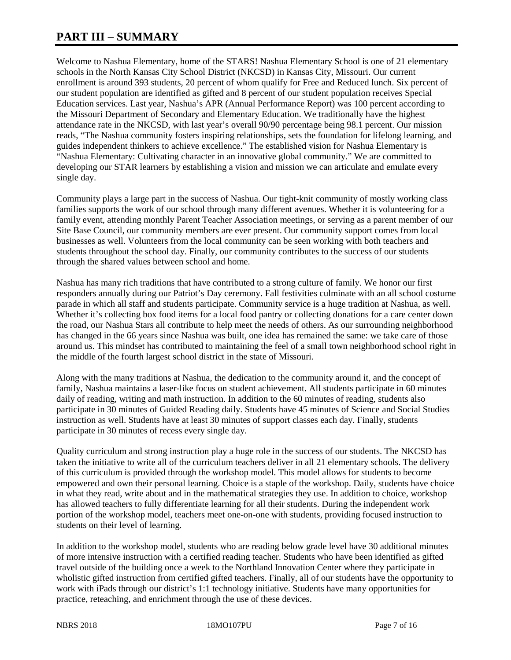# **PART III – SUMMARY**

Welcome to Nashua Elementary, home of the STARS! Nashua Elementary School is one of 21 elementary schools in the North Kansas City School District (NKCSD) in Kansas City, Missouri. Our current enrollment is around 393 students, 20 percent of whom qualify for Free and Reduced lunch. Six percent of our student population are identified as gifted and 8 percent of our student population receives Special Education services. Last year, Nashua's APR (Annual Performance Report) was 100 percent according to the Missouri Department of Secondary and Elementary Education. We traditionally have the highest attendance rate in the NKCSD, with last year's overall 90/90 percentage being 98.1 percent. Our mission reads, "The Nashua community fosters inspiring relationships, sets the foundation for lifelong learning, and guides independent thinkers to achieve excellence." The established vision for Nashua Elementary is "Nashua Elementary: Cultivating character in an innovative global community." We are committed to developing our STAR learners by establishing a vision and mission we can articulate and emulate every single day.

Community plays a large part in the success of Nashua. Our tight-knit community of mostly working class families supports the work of our school through many different avenues. Whether it is volunteering for a family event, attending monthly Parent Teacher Association meetings, or serving as a parent member of our Site Base Council, our community members are ever present. Our community support comes from local businesses as well. Volunteers from the local community can be seen working with both teachers and students throughout the school day. Finally, our community contributes to the success of our students through the shared values between school and home.

Nashua has many rich traditions that have contributed to a strong culture of family. We honor our first responders annually during our Patriot's Day ceremony. Fall festivities culminate with an all school costume parade in which all staff and students participate. Community service is a huge tradition at Nashua, as well. Whether it's collecting box food items for a local food pantry or collecting donations for a care center down the road, our Nashua Stars all contribute to help meet the needs of others. As our surrounding neighborhood has changed in the 66 years since Nashua was built, one idea has remained the same: we take care of those around us. This mindset has contributed to maintaining the feel of a small town neighborhood school right in the middle of the fourth largest school district in the state of Missouri.

Along with the many traditions at Nashua, the dedication to the community around it, and the concept of family, Nashua maintains a laser-like focus on student achievement. All students participate in 60 minutes daily of reading, writing and math instruction. In addition to the 60 minutes of reading, students also participate in 30 minutes of Guided Reading daily. Students have 45 minutes of Science and Social Studies instruction as well. Students have at least 30 minutes of support classes each day. Finally, students participate in 30 minutes of recess every single day.

Quality curriculum and strong instruction play a huge role in the success of our students. The NKCSD has taken the initiative to write all of the curriculum teachers deliver in all 21 elementary schools. The delivery of this curriculum is provided through the workshop model. This model allows for students to become empowered and own their personal learning. Choice is a staple of the workshop. Daily, students have choice in what they read, write about and in the mathematical strategies they use. In addition to choice, workshop has allowed teachers to fully differentiate learning for all their students. During the independent work portion of the workshop model, teachers meet one-on-one with students, providing focused instruction to students on their level of learning.

In addition to the workshop model, students who are reading below grade level have 30 additional minutes of more intensive instruction with a certified reading teacher. Students who have been identified as gifted travel outside of the building once a week to the Northland Innovation Center where they participate in wholistic gifted instruction from certified gifted teachers. Finally, all of our students have the opportunity to work with iPads through our district's 1:1 technology initiative. Students have many opportunities for practice, reteaching, and enrichment through the use of these devices.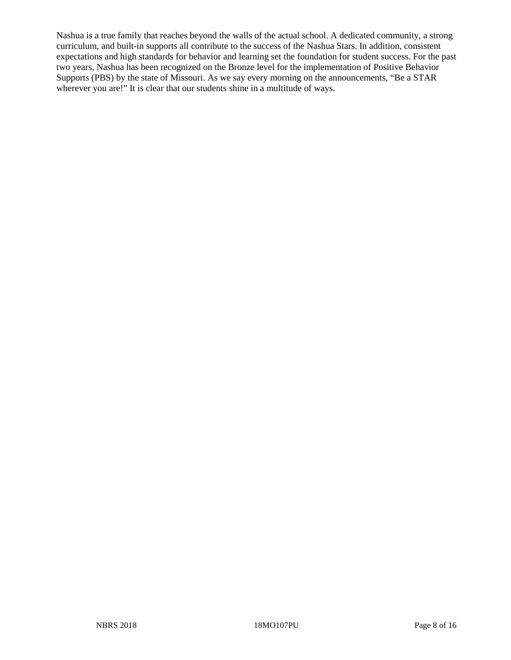Nashua is a true family that reaches beyond the walls of the actual school. A dedicated community, a strong curriculum, and built-in supports all contribute to the success of the Nashua Stars. In addition, consistent expectations and high standards for behavior and learning set the foundation for student success. For the past two years, Nashua has been recognized on the Bronze level for the implementation of Positive Behavior Supports (PBS) by the state of Missouri. As we say every morning on the announcements, "Be a STAR wherever you are!" It is clear that our students shine in a multitude of ways.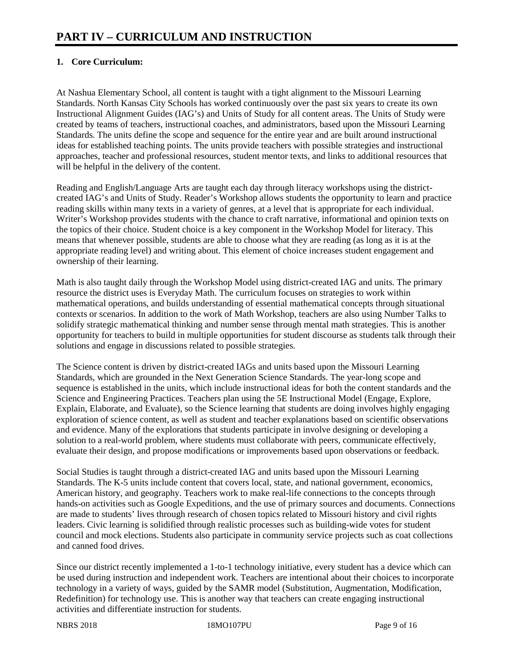# **1. Core Curriculum:**

At Nashua Elementary School, all content is taught with a tight alignment to the Missouri Learning Standards. North Kansas City Schools has worked continuously over the past six years to create its own Instructional Alignment Guides (IAG's) and Units of Study for all content areas. The Units of Study were created by teams of teachers, instructional coaches, and administrators, based upon the Missouri Learning Standards. The units define the scope and sequence for the entire year and are built around instructional ideas for established teaching points. The units provide teachers with possible strategies and instructional approaches, teacher and professional resources, student mentor texts, and links to additional resources that will be helpful in the delivery of the content.

Reading and English/Language Arts are taught each day through literacy workshops using the districtcreated IAG's and Units of Study. Reader's Workshop allows students the opportunity to learn and practice reading skills within many texts in a variety of genres, at a level that is appropriate for each individual. Writer's Workshop provides students with the chance to craft narrative, informational and opinion texts on the topics of their choice. Student choice is a key component in the Workshop Model for literacy. This means that whenever possible, students are able to choose what they are reading (as long as it is at the appropriate reading level) and writing about. This element of choice increases student engagement and ownership of their learning.

Math is also taught daily through the Workshop Model using district-created IAG and units. The primary resource the district uses is Everyday Math. The curriculum focuses on strategies to work within mathematical operations, and builds understanding of essential mathematical concepts through situational contexts or scenarios. In addition to the work of Math Workshop, teachers are also using Number Talks to solidify strategic mathematical thinking and number sense through mental math strategies. This is another opportunity for teachers to build in multiple opportunities for student discourse as students talk through their solutions and engage in discussions related to possible strategies.

The Science content is driven by district-created IAGs and units based upon the Missouri Learning Standards, which are grounded in the Next Generation Science Standards. The year-long scope and sequence is established in the units, which include instructional ideas for both the content standards and the Science and Engineering Practices. Teachers plan using the 5E Instructional Model (Engage, Explore, Explain, Elaborate, and Evaluate), so the Science learning that students are doing involves highly engaging exploration of science content, as well as student and teacher explanations based on scientific observations and evidence. Many of the explorations that students participate in involve designing or developing a solution to a real-world problem, where students must collaborate with peers, communicate effectively, evaluate their design, and propose modifications or improvements based upon observations or feedback.

Social Studies is taught through a district-created IAG and units based upon the Missouri Learning Standards. The K-5 units include content that covers local, state, and national government, economics, American history, and geography. Teachers work to make real-life connections to the concepts through hands-on activities such as Google Expeditions, and the use of primary sources and documents. Connections are made to students' lives through research of chosen topics related to Missouri history and civil rights leaders. Civic learning is solidified through realistic processes such as building-wide votes for student council and mock elections. Students also participate in community service projects such as coat collections and canned food drives.

Since our district recently implemented a 1-to-1 technology initiative, every student has a device which can be used during instruction and independent work. Teachers are intentional about their choices to incorporate technology in a variety of ways, guided by the SAMR model (Substitution, Augmentation, Modification, Redefinition) for technology use. This is another way that teachers can create engaging instructional activities and differentiate instruction for students.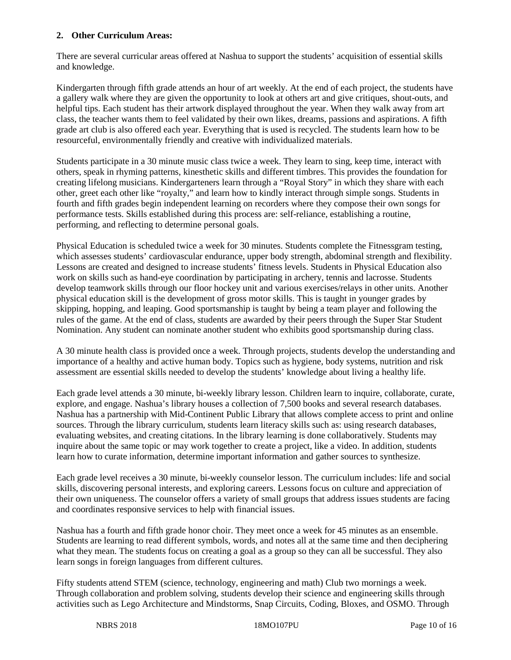## **2. Other Curriculum Areas:**

There are several curricular areas offered at Nashua to support the students' acquisition of essential skills and knowledge.

Kindergarten through fifth grade attends an hour of art weekly. At the end of each project, the students have a gallery walk where they are given the opportunity to look at others art and give critiques, shout-outs, and helpful tips. Each student has their artwork displayed throughout the year. When they walk away from art class, the teacher wants them to feel validated by their own likes, dreams, passions and aspirations. A fifth grade art club is also offered each year. Everything that is used is recycled. The students learn how to be resourceful, environmentally friendly and creative with individualized materials.

Students participate in a 30 minute music class twice a week. They learn to sing, keep time, interact with others, speak in rhyming patterns, kinesthetic skills and different timbres. This provides the foundation for creating lifelong musicians. Kindergarteners learn through a "Royal Story" in which they share with each other, greet each other like "royalty," and learn how to kindly interact through simple songs. Students in fourth and fifth grades begin independent learning on recorders where they compose their own songs for performance tests. Skills established during this process are: self-reliance, establishing a routine, performing, and reflecting to determine personal goals.

Physical Education is scheduled twice a week for 30 minutes. Students complete the Fitnessgram testing, which assesses students' cardiovascular endurance, upper body strength, abdominal strength and flexibility. Lessons are created and designed to increase students' fitness levels. Students in Physical Education also work on skills such as hand-eye coordination by participating in archery, tennis and lacrosse. Students develop teamwork skills through our floor hockey unit and various exercises/relays in other units. Another physical education skill is the development of gross motor skills. This is taught in younger grades by skipping, hopping, and leaping. Good sportsmanship is taught by being a team player and following the rules of the game. At the end of class, students are awarded by their peers through the Super Star Student Nomination. Any student can nominate another student who exhibits good sportsmanship during class.

A 30 minute health class is provided once a week. Through projects, students develop the understanding and importance of a healthy and active human body. Topics such as hygiene, body systems, nutrition and risk assessment are essential skills needed to develop the students' knowledge about living a healthy life.

Each grade level attends a 30 minute, bi-weekly library lesson. Children learn to inquire, collaborate, curate, explore, and engage. Nashua's library houses a collection of 7,500 books and several research databases. Nashua has a partnership with Mid-Continent Public Library that allows complete access to print and online sources. Through the library curriculum, students learn literacy skills such as: using research databases, evaluating websites, and creating citations. In the library learning is done collaboratively. Students may inquire about the same topic or may work together to create a project, like a video. In addition, students learn how to curate information, determine important information and gather sources to synthesize.

Each grade level receives a 30 minute, bi-weekly counselor lesson. The curriculum includes: life and social skills, discovering personal interests, and exploring careers. Lessons focus on culture and appreciation of their own uniqueness. The counselor offers a variety of small groups that address issues students are facing and coordinates responsive services to help with financial issues.

Nashua has a fourth and fifth grade honor choir. They meet once a week for 45 minutes as an ensemble. Students are learning to read different symbols, words, and notes all at the same time and then deciphering what they mean. The students focus on creating a goal as a group so they can all be successful. They also learn songs in foreign languages from different cultures.

Fifty students attend STEM (science, technology, engineering and math) Club two mornings a week. Through collaboration and problem solving, students develop their science and engineering skills through activities such as Lego Architecture and Mindstorms, Snap Circuits, Coding, Bloxes, and OSMO. Through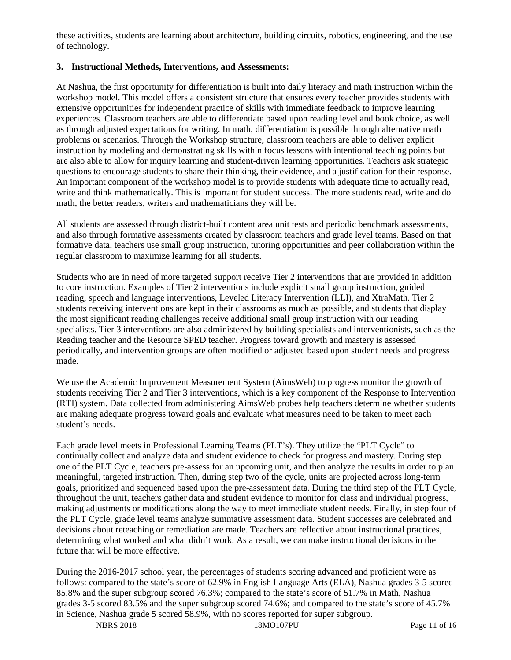these activities, students are learning about architecture, building circuits, robotics, engineering, and the use of technology.

## **3. Instructional Methods, Interventions, and Assessments:**

At Nashua, the first opportunity for differentiation is built into daily literacy and math instruction within the workshop model. This model offers a consistent structure that ensures every teacher provides students with extensive opportunities for independent practice of skills with immediate feedback to improve learning experiences. Classroom teachers are able to differentiate based upon reading level and book choice, as well as through adjusted expectations for writing. In math, differentiation is possible through alternative math problems or scenarios. Through the Workshop structure, classroom teachers are able to deliver explicit instruction by modeling and demonstrating skills within focus lessons with intentional teaching points but are also able to allow for inquiry learning and student-driven learning opportunities. Teachers ask strategic questions to encourage students to share their thinking, their evidence, and a justification for their response. An important component of the workshop model is to provide students with adequate time to actually read, write and think mathematically. This is important for student success. The more students read, write and do math, the better readers, writers and mathematicians they will be.

All students are assessed through district-built content area unit tests and periodic benchmark assessments, and also through formative assessments created by classroom teachers and grade level teams. Based on that formative data, teachers use small group instruction, tutoring opportunities and peer collaboration within the regular classroom to maximize learning for all students.

Students who are in need of more targeted support receive Tier 2 interventions that are provided in addition to core instruction. Examples of Tier 2 interventions include explicit small group instruction, guided reading, speech and language interventions, Leveled Literacy Intervention (LLI), and XtraMath. Tier 2 students receiving interventions are kept in their classrooms as much as possible, and students that display the most significant reading challenges receive additional small group instruction with our reading specialists. Tier 3 interventions are also administered by building specialists and interventionists, such as the Reading teacher and the Resource SPED teacher. Progress toward growth and mastery is assessed periodically, and intervention groups are often modified or adjusted based upon student needs and progress made.

We use the Academic Improvement Measurement System (AimsWeb) to progress monitor the growth of students receiving Tier 2 and Tier 3 interventions, which is a key component of the Response to Intervention (RTI) system. Data collected from administering AimsWeb probes help teachers determine whether students are making adequate progress toward goals and evaluate what measures need to be taken to meet each student's needs.

Each grade level meets in Professional Learning Teams (PLT's). They utilize the "PLT Cycle" to continually collect and analyze data and student evidence to check for progress and mastery. During step one of the PLT Cycle, teachers pre-assess for an upcoming unit, and then analyze the results in order to plan meaningful, targeted instruction. Then, during step two of the cycle, units are projected across long-term goals, prioritized and sequenced based upon the pre-assessment data. During the third step of the PLT Cycle, throughout the unit, teachers gather data and student evidence to monitor for class and individual progress, making adjustments or modifications along the way to meet immediate student needs. Finally, in step four of the PLT Cycle, grade level teams analyze summative assessment data. Student successes are celebrated and decisions about reteaching or remediation are made. Teachers are reflective about instructional practices, determining what worked and what didn't work. As a result, we can make instructional decisions in the future that will be more effective.

During the 2016-2017 school year, the percentages of students scoring advanced and proficient were as follows: compared to the state's score of 62.9% in English Language Arts (ELA), Nashua grades 3-5 scored 85.8% and the super subgroup scored 76.3%; compared to the state's score of 51.7% in Math, Nashua grades 3-5 scored 83.5% and the super subgroup scored 74.6%; and compared to the state's score of 45.7% in Science, Nashua grade 5 scored 58.9%, with no scores reported for super subgroup.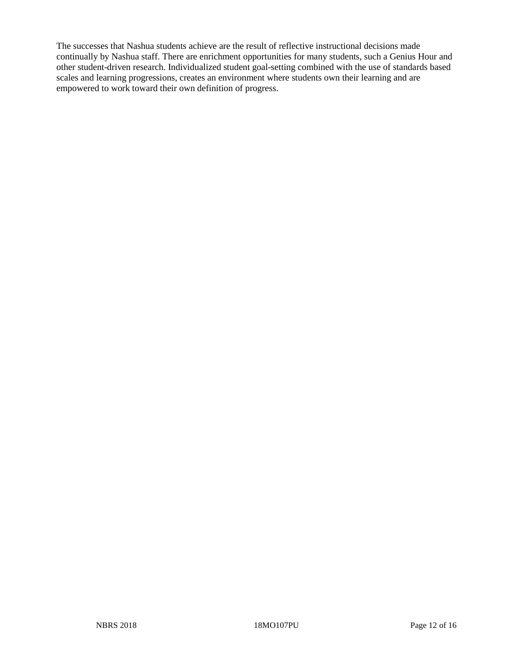The successes that Nashua students achieve are the result of reflective instructional decisions made continually by Nashua staff. There are enrichment opportunities for many students, such a Genius Hour and other student-driven research. Individualized student goal-setting combined with the use of standards based scales and learning progressions, creates an environment where students own their learning and are empowered to work toward their own definition of progress.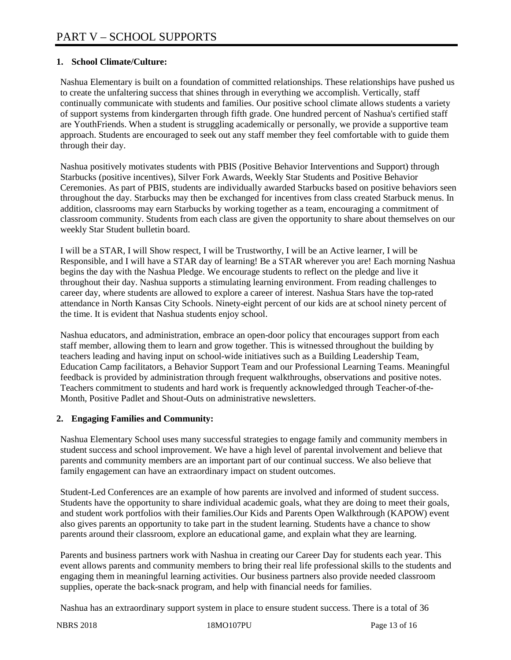# **1. School Climate/Culture:**

Nashua Elementary is built on a foundation of committed relationships. These relationships have pushed us to create the unfaltering success that shines through in everything we accomplish. Vertically, staff continually communicate with students and families. Our positive school climate allows students a variety of support systems from kindergarten through fifth grade. One hundred percent of Nashua's certified staff are YouthFriends. When a student is struggling academically or personally, we provide a supportive team approach. Students are encouraged to seek out any staff member they feel comfortable with to guide them through their day.

Nashua positively motivates students with PBIS (Positive Behavior Interventions and Support) through Starbucks (positive incentives), Silver Fork Awards, Weekly Star Students and Positive Behavior Ceremonies. As part of PBIS, students are individually awarded Starbucks based on positive behaviors seen throughout the day. Starbucks may then be exchanged for incentives from class created Starbuck menus. In addition, classrooms may earn Starbucks by working together as a team, encouraging a commitment of classroom community. Students from each class are given the opportunity to share about themselves on our weekly Star Student bulletin board.

I will be a STAR, I will Show respect, I will be Trustworthy, I will be an Active learner, I will be Responsible, and I will have a STAR day of learning! Be a STAR wherever you are! Each morning Nashua begins the day with the Nashua Pledge. We encourage students to reflect on the pledge and live it throughout their day. Nashua supports a stimulating learning environment. From reading challenges to career day, where students are allowed to explore a career of interest. Nashua Stars have the top-rated attendance in North Kansas City Schools. Ninety-eight percent of our kids are at school ninety percent of the time. It is evident that Nashua students enjoy school.

Nashua educators, and administration, embrace an open-door policy that encourages support from each staff member, allowing them to learn and grow together. This is witnessed throughout the building by teachers leading and having input on school-wide initiatives such as a Building Leadership Team, Education Camp facilitators, a Behavior Support Team and our Professional Learning Teams. Meaningful feedback is provided by administration through frequent walkthroughs, observations and positive notes. Teachers commitment to students and hard work is frequently acknowledged through Teacher-of-the-Month, Positive Padlet and Shout-Outs on administrative newsletters.

#### **2. Engaging Families and Community:**

Nashua Elementary School uses many successful strategies to engage family and community members in student success and school improvement. We have a high level of parental involvement and believe that parents and community members are an important part of our continual success. We also believe that family engagement can have an extraordinary impact on student outcomes.

Student-Led Conferences are an example of how parents are involved and informed of student success. Students have the opportunity to share individual academic goals, what they are doing to meet their goals, and student work portfolios with their families.Our Kids and Parents Open Walkthrough (KAPOW) event also gives parents an opportunity to take part in the student learning. Students have a chance to show parents around their classroom, explore an educational game, and explain what they are learning.

Parents and business partners work with Nashua in creating our Career Day for students each year. This event allows parents and community members to bring their real life professional skills to the students and engaging them in meaningful learning activities. Our business partners also provide needed classroom supplies, operate the back-snack program, and help with financial needs for families.

Nashua has an extraordinary support system in place to ensure student success. There is a total of 36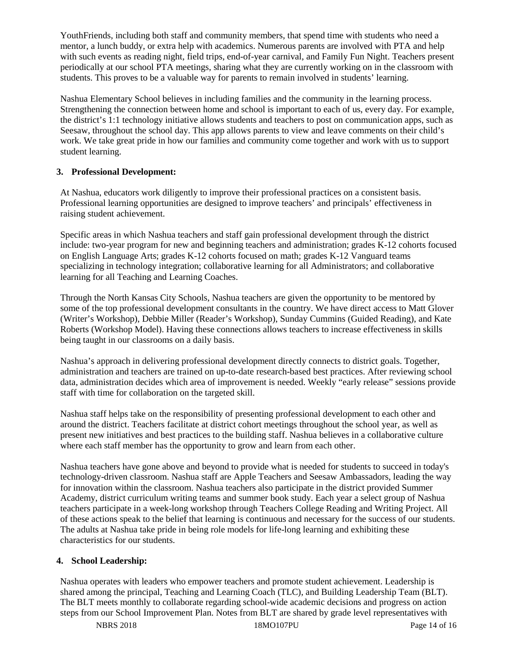YouthFriends, including both staff and community members, that spend time with students who need a mentor, a lunch buddy, or extra help with academics. Numerous parents are involved with PTA and help with such events as reading night, field trips, end-of-year carnival, and Family Fun Night. Teachers present periodically at our school PTA meetings, sharing what they are currently working on in the classroom with students. This proves to be a valuable way for parents to remain involved in students' learning.

Nashua Elementary School believes in including families and the community in the learning process. Strengthening the connection between home and school is important to each of us, every day. For example, the district's 1:1 technology initiative allows students and teachers to post on communication apps, such as Seesaw, throughout the school day. This app allows parents to view and leave comments on their child's work. We take great pride in how our families and community come together and work with us to support student learning.

# **3. Professional Development:**

At Nashua, educators work diligently to improve their professional practices on a consistent basis. Professional learning opportunities are designed to improve teachers' and principals' effectiveness in raising student achievement.

Specific areas in which Nashua teachers and staff gain professional development through the district include: two-year program for new and beginning teachers and administration; grades K-12 cohorts focused on English Language Arts; grades K-12 cohorts focused on math; grades K-12 Vanguard teams specializing in technology integration; collaborative learning for all Administrators; and collaborative learning for all Teaching and Learning Coaches.

Through the North Kansas City Schools, Nashua teachers are given the opportunity to be mentored by some of the top professional development consultants in the country. We have direct access to Matt Glover (Writer's Workshop), Debbie Miller (Reader's Workshop), Sunday Cummins (Guided Reading), and Kate Roberts (Workshop Model). Having these connections allows teachers to increase effectiveness in skills being taught in our classrooms on a daily basis.

Nashua's approach in delivering professional development directly connects to district goals. Together, administration and teachers are trained on up-to-date research-based best practices. After reviewing school data, administration decides which area of improvement is needed. Weekly "early release" sessions provide staff with time for collaboration on the targeted skill.

Nashua staff helps take on the responsibility of presenting professional development to each other and around the district. Teachers facilitate at district cohort meetings throughout the school year, as well as present new initiatives and best practices to the building staff. Nashua believes in a collaborative culture where each staff member has the opportunity to grow and learn from each other.

Nashua teachers have gone above and beyond to provide what is needed for students to succeed in today's technology-driven classroom. Nashua staff are Apple Teachers and Seesaw Ambassadors, leading the way for innovation within the classroom. Nashua teachers also participate in the district provided Summer Academy, district curriculum writing teams and summer book study. Each year a select group of Nashua teachers participate in a week-long workshop through Teachers College Reading and Writing Project. All of these actions speak to the belief that learning is continuous and necessary for the success of our students. The adults at Nashua take pride in being role models for life-long learning and exhibiting these characteristics for our students.

#### **4. School Leadership:**

Nashua operates with leaders who empower teachers and promote student achievement. Leadership is shared among the principal, Teaching and Learning Coach (TLC), and Building Leadership Team (BLT). The BLT meets monthly to collaborate regarding school-wide academic decisions and progress on action steps from our School Improvement Plan. Notes from BLT are shared by grade level representatives with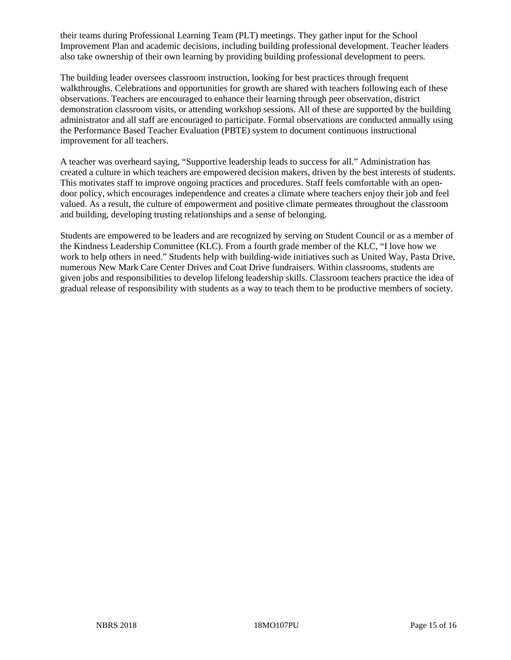their teams during Professional Learning Team (PLT) meetings. They gather input for the School Improvement Plan and academic decisions, including building professional development. Teacher leaders also take ownership of their own learning by providing building professional development to peers.

The building leader oversees classroom instruction, looking for best practices through frequent walkthroughs. Celebrations and opportunities for growth are shared with teachers following each of these observations. Teachers are encouraged to enhance their learning through peer observation, district demonstration classroom visits, or attending workshop sessions. All of these are supported by the building administrator and all staff are encouraged to participate. Formal observations are conducted annually using the Performance Based Teacher Evaluation (PBTE) system to document continuous instructional improvement for all teachers.

A teacher was overheard saying, "Supportive leadership leads to success for all." Administration has created a culture in which teachers are empowered decision makers, driven by the best interests of students. This motivates staff to improve ongoing practices and procedures. Staff feels comfortable with an opendoor policy, which encourages independence and creates a climate where teachers enjoy their job and feel valued. As a result, the culture of empowerment and positive climate permeates throughout the classroom and building, developing trusting relationships and a sense of belonging.

Students are empowered to be leaders and are recognized by serving on Student Council or as a member of the Kindness Leadership Committee (KLC). From a fourth grade member of the KLC, "I love how we work to help others in need." Students help with building-wide initiatives such as United Way, Pasta Drive, numerous New Mark Care Center Drives and Coat Drive fundraisers. Within classrooms, students are given jobs and responsibilities to develop lifelong leadership skills. Classroom teachers practice the idea of gradual release of responsibility with students as a way to teach them to be productive members of society.